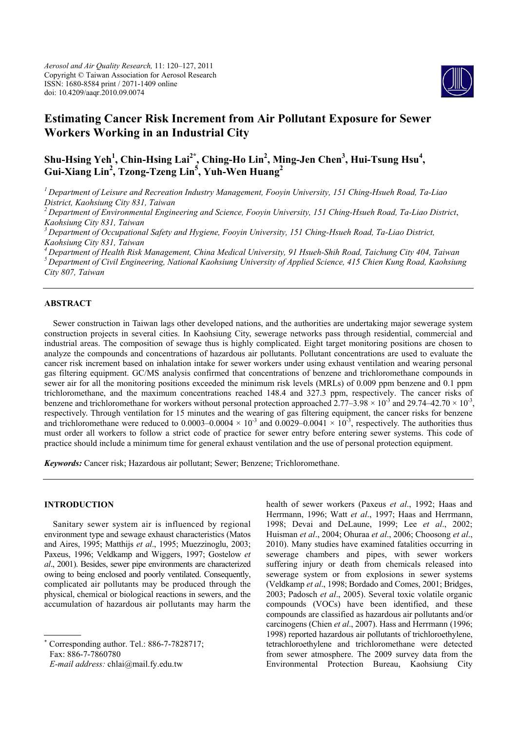

# **Estimating Cancer Risk Increment from Air Pollutant Exposure for Sewer Workers Working in an Industrial City**

# **Shu-Hsing Yeh1 , Chin-Hsing Lai2\*, Ching-Ho Lin2 , Ming-Jen Chen3 , Hui-Tsung Hsu<sup>4</sup> , Gui-Xiang Lin2 , Tzong-Tzeng Lin5 , Yuh-Wen Huang<sup>2</sup>**

*1 Department of Leisure and Recreation Industry Management, Fooyin University, 151 Ching-Hsueh Road, Ta-Liao District, Kaohsiung City 831, Taiwan* 

*2 Department of Environmental Engineering and Science, Fooyin University, 151 Ching-Hsueh Road, Ta-Liao District*, *Kaohsiung City 831, Taiwan*

*3 Department of Occupational Safety and Hygiene, Fooyin University, 151 Ching-Hsueh Road, Ta-Liao District, Kaohsiung City 831, Taiwan*

*4 Department of Health Risk Management, China Medical University, 91 Hsueh-Shih Road, Taichung City 404, Taiwan 5 Department of Civil Engineering, National Kaohsiung University of Applied Science, 415 Chien Kung Road, Kaohsiung City 807, Taiwan*

# **ABSTRACT**

Sewer construction in Taiwan lags other developed nations, and the authorities are undertaking major sewerage system construction projects in several cities. In Kaohsiung City, sewerage networks pass through residential, commercial and industrial areas. The composition of sewage thus is highly complicated. Eight target monitoring positions are chosen to analyze the compounds and concentrations of hazardous air pollutants. Pollutant concentrations are used to evaluate the cancer risk increment based on inhalation intake for sewer workers under using exhaust ventilation and wearing personal gas filtering equipment. GC/MS analysis confirmed that concentrations of benzene and trichloromethane compounds in sewer air for all the monitoring positions exceeded the minimum risk levels (MRLs) of 0.009 ppm benzene and 0.1 ppm trichloromethane, and the maximum concentrations reached 148.4 and 327.3 ppm, respectively. The cancer risks of benzene and trichloromethane for workers without personal protection approached  $2.77-3.98 \times 10^{-3}$  and  $29.74-42.70 \times 10^{-3}$ , respectively. Through ventilation for 15 minutes and the wearing of gas filtering equipment, the cancer risks for benzene and trichloromethane were reduced to  $0.0003-0.0004 \times 10^{-3}$  and  $0.0029-0.0041 \times 10^{-3}$ , respectively. The authorities thus must order all workers to follow a strict code of practice for sewer entry before entering sewer systems. This code of practice should include a minimum time for general exhaust ventilation and the use of personal protection equipment.

*Keywords:* Cancer risk; Hazardous air pollutant; Sewer; Benzene; Trichloromethane.

# **INTRODUCTION**

Sanitary sewer system air is influenced by regional environment type and sewage exhaust characteristics (Matos and Aires, 1995; Matthijs *et al*., 1995; Muezzinoglu, 2003; Paxeus, 1996; Veldkamp and Wiggers, 1997; Gostelow *et al*., 2001). Besides, sewer pipe environments are characterized owing to being enclosed and poorly ventilated. Consequently, complicated air pollutants may be produced through the physical, chemical or biological reactions in sewers, and the accumulation of hazardous air pollutants may harm the

× Corresponding author. Tel.: 886-7-7828717; Fax: 886-7-7860780

*E-mail address:* chlai@mail.fy.edu.tw

health of sewer workers (Paxeus *et al*., 1992; Haas and Herrmann, 1996; Watt *et al*., 1997; Haas and Herrmann, 1998; Devai and DeLaune, 1999; Lee *et al*., 2002; Huisman *et al*., 2004; Ohuraa *et al*., 2006; Choosong *et al*., 2010). Many studies have examined fatalities occurring in sewerage chambers and pipes, with sewer workers suffering injury or death from chemicals released into sewerage system or from explosions in sewer systems (Veldkamp *et al*., 1998; Bordado and Comes, 2001; Bridges, 2003; Padosch *et al*., 2005). Several toxic volatile organic compounds (VOCs) have been identified, and these compounds are classified as hazardous air pollutants and/or carcinogens (Chien *et al*., 2007). Hass and Herrmann (1996; 1998) reported hazardous air pollutants of trichloroethylene, tetrachloroethylene and trichloromethane were detected from sewer atmosphere. The 2009 survey data from the Environmental Protection Bureau, Kaohsiung City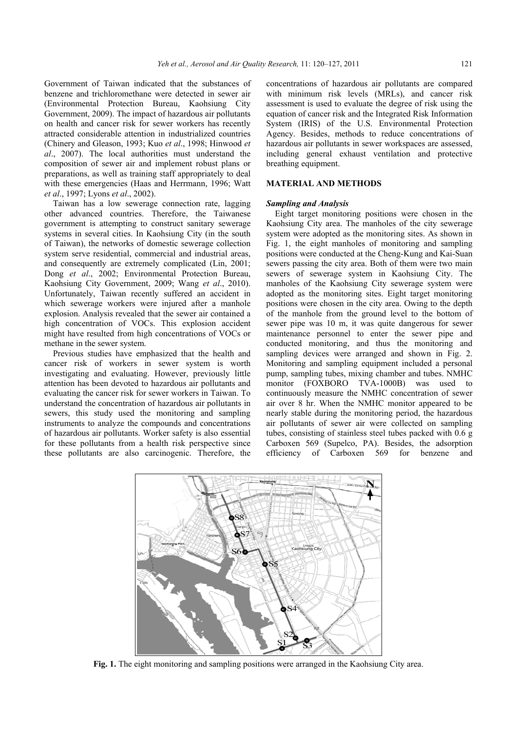Government of Taiwan indicated that the substances of benzene and trichloromethane were detected in sewer air (Environmental Protection Bureau, Kaohsiung City Government, 2009). The impact of hazardous air pollutants on health and cancer risk for sewer workers has recently attracted considerable attention in industrialized countries (Chinery and Gleason, 1993; Kuo *et al*., 1998; Hinwood *et al*., 2007). The local authorities must understand the composition of sewer air and implement robust plans or preparations, as well as training staff appropriately to deal with these emergencies (Haas and Herrmann, 1996; Watt *et al*., 1997; Lyons *et al*., 2002).

Taiwan has a low sewerage connection rate, lagging other advanced countries. Therefore, the Taiwanese government is attempting to construct sanitary sewerage systems in several cities. In Kaohsiung City (in the south of Taiwan), the networks of domestic sewerage collection system serve residential, commercial and industrial areas, and consequently are extremely complicated (Lin, 2001; Dong *et al*., 2002; Environmental Protection Bureau, Kaohsiung City Government, 2009; Wang *et al*., 2010). Unfortunately, Taiwan recently suffered an accident in which sewerage workers were injured after a manhole explosion. Analysis revealed that the sewer air contained a high concentration of VOCs. This explosion accident might have resulted from high concentrations of VOCs or methane in the sewer system.

Previous studies have emphasized that the health and cancer risk of workers in sewer system is worth investigating and evaluating. However, previously little attention has been devoted to hazardous air pollutants and evaluating the cancer risk for sewer workers in Taiwan. To understand the concentration of hazardous air pollutants in sewers, this study used the monitoring and sampling instruments to analyze the compounds and concentrations of hazardous air pollutants. Worker safety is also essential for these pollutants from a health risk perspective since these pollutants are also carcinogenic. Therefore, the

concentrations of hazardous air pollutants are compared with minimum risk levels (MRLs), and cancer risk assessment is used to evaluate the degree of risk using the equation of cancer risk and the Integrated Risk Information System (IRIS) of the U.S. Environmental Protection Agency. Besides, methods to reduce concentrations of hazardous air pollutants in sewer workspaces are assessed, including general exhaust ventilation and protective breathing equipment.

### **MATERIAL AND METHODS**

# *Sampling and Analysis*

Eight target monitoring positions were chosen in the Kaohsiung City area. The manholes of the city sewerage system were adopted as the monitoring sites. As shown in Fig. 1, the eight manholes of monitoring and sampling positions were conducted at the Cheng-Kung and Kai-Suan sewers passing the city area. Both of them were two main sewers of sewerage system in Kaohsiung City. The manholes of the Kaohsiung City sewerage system were adopted as the monitoring sites. Eight target monitoring positions were chosen in the city area. Owing to the depth of the manhole from the ground level to the bottom of sewer pipe was 10 m, it was quite dangerous for sewer maintenance personnel to enter the sewer pipe and conducted monitoring, and thus the monitoring and sampling devices were arranged and shown in Fig. 2. Monitoring and sampling equipment included a personal pump, sampling tubes, mixing chamber and tubes. NMHC monitor (FOXBORO TVA-1000B) was used to continuously measure the NMHC concentration of sewer air over 8 hr. When the NMHC monitor appeared to be nearly stable during the monitoring period, the hazardous air pollutants of sewer air were collected on sampling tubes, consisting of stainless steel tubes packed with 0.6 g Carboxen 569 (Supelco, PA). Besides, the adsorption efficiency of Carboxen 569 for benzene and



**Fig. 1.** The eight monitoring and sampling positions were arranged in the Kaohsiung City area.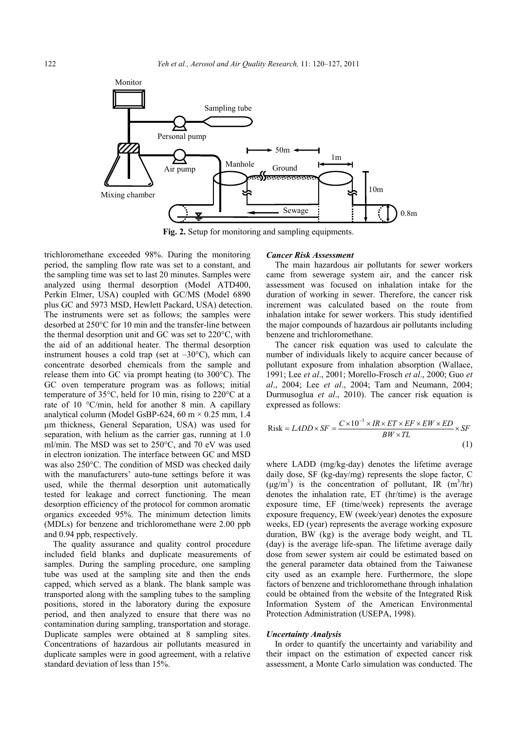

**Fig. 2.** Setup for monitoring and sampling equipments.

trichloromethane exceeded 98%. During the monitoring period, the sampling flow rate was set to a constant, and the sampling time was set to last 20 minutes. Samples were analyzed using thermal desorption (Model ATD400, Perkin Elmer, USA) coupled with GC/MS (Model 6890 plus GC and 5973 MSD, Hewlett Packard, USA) detection. The instruments were set as follows; the samples were desorbed at 250°C for 10 min and the transfer-line between the thermal desorption unit and GC was set to 220°C, with the aid of an additional heater. The thermal desorption instrument houses a cold trap (set at  $-30^{\circ}$ C), which can concentrate desorbed chemicals from the sample and release them into GC via prompt heating (to 300°C). The GC oven temperature program was as follows; initial temperature of 35°C, held for 10 min, rising to 220°C at a rate of 10 °C/min, held for another 8 min. A capillary analytical column (Model GsBP-624, 60 m  $\times$  0.25 mm, 1.4 μm thickness, General Separation, USA) was used for separation, with helium as the carrier gas, running at 1.0 ml/min. The MSD was set to 250°C, and 70 eV was used in electron ionization. The interface between GC and MSD was also 250°C. The condition of MSD was checked daily with the manufacturers' auto-tune settings before it was used, while the thermal desorption unit automatically tested for leakage and correct functioning. The mean desorption efficiency of the protocol for common aromatic organics exceeded 95%. The minimum detection limits (MDLs) for benzene and trichloromethane were 2.00 ppb and 0.94 ppb, respectively.

The quality assurance and quality control procedure included field blanks and duplicate measurements of samples. During the sampling procedure, one sampling tube was used at the sampling site and then the ends capped, which served as a blank. The blank sample was transported along with the sampling tubes to the sampling positions, stored in the laboratory during the exposure period, and then analyzed to ensure that there was no contamination during sampling, transportation and storage. Duplicate samples were obtained at 8 sampling sites. Concentrations of hazardous air pollutants measured in duplicate samples were in good agreement, with a relative standard deviation of less than 15%.

#### *Cancer Risk Assessment*

The main hazardous air pollutants for sewer workers came from sewerage system air, and the cancer risk assessment was focused on inhalation intake for the duration of working in sewer. Therefore, the cancer risk increment was calculated based on the route from inhalation intake for sewer workers. This study identified the major compounds of hazardous air pollutants including benzene and trichloromethane.

The cancer risk equation was used to calculate the number of individuals likely to acquire cancer because of pollutant exposure from inhalation absorption (Wallace, 1991; Lee *et al*., 2001; Morello-Frosch *et al*., 2000; Guo *et al*., 2004; Lee *et al*., 2004; Tam and Neumann, 2004; Durmusoglua *et al*., 2010). The cancer risk equation is expressed as follows:

$$
\text{Risk} = LADD \times SF = \frac{C \times 10^{-3} \times IR \times ET \times EF \times EW \times ED}{BW \times TL} \times SF \tag{1}
$$

where LADD (mg/kg-day) denotes the lifetime average daily dose, SF (kg-day/mg) represents the slope factor, C  $(\mu g/m^3)$  is the concentration of pollutant, IR  $(m^3/hr)$ denotes the inhalation rate, ET (hr/time) is the average exposure time, EF (time/week) represents the average exposure frequency, EW (week/year) denotes the exposure weeks, ED (year) represents the average working exposure duration, BW (kg) is the average body weight, and TL (day) is the average life-span. The lifetime average daily dose from sewer system air could be estimated based on the general parameter data obtained from the Taiwanese city used as an example here. Furthermore, the slope factors of benzene and trichloromethane through inhalation could be obtained from the website of the Integrated Risk Information System of the American Environmental Protection Administration (USEPA, 1998).

#### *Uncertainty Analysis*

In order to quantify the uncertainty and variability and their impact on the estimation of expected cancer risk assessment, a Monte Carlo simulation was conducted. The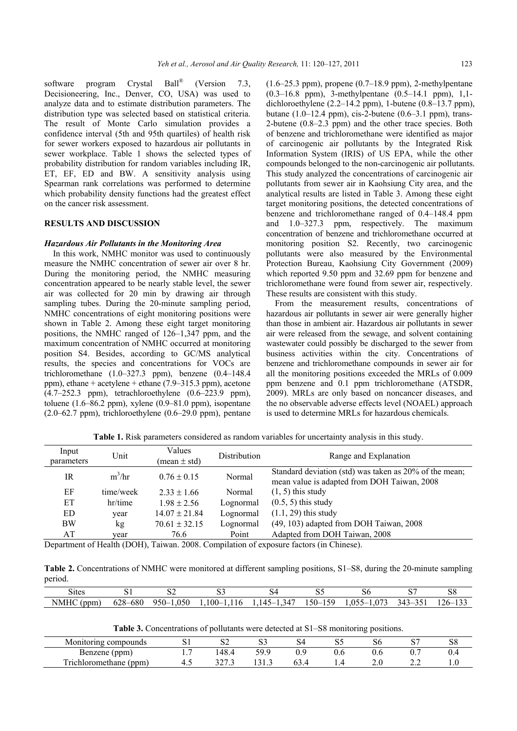software program Crystal Ball<sup>®</sup> (Version 7.3, Decisioneering, Inc., Denver, CO, USA) was used to analyze data and to estimate distribution parameters. The distribution type was selected based on statistical criteria. The result of Monte Carlo simulation provides a confidence interval (5th and 95th quartiles) of health risk for sewer workers exposed to hazardous air pollutants in sewer workplace. Table 1 shows the selected types of probability distribution for random variables including IR, ET, EF, ED and BW. A sensitivity analysis using Spearman rank correlations was performed to determine which probability density functions had the greatest effect on the cancer risk assessment.

# **RESULTS AND DISCUSSION**

## *Hazardous Air Pollutants in the Monitoring Area*

In this work, NMHC monitor was used to continuously measure the NMHC concentration of sewer air over 8 hr. During the monitoring period, the NMHC measuring concentration appeared to be nearly stable level, the sewer air was collected for 20 min by drawing air through sampling tubes. During the 20-minute sampling period, NMHC concentrations of eight monitoring positions were shown in Table 2. Among these eight target monitoring positions, the NMHC ranged of 126–1,347 ppm, and the maximum concentration of NMHC occurred at monitoring position S4. Besides, according to GC/MS analytical results, the species and concentrations for VOCs are trichloromethane (1.0–327.3 ppm), benzene (0.4–148.4 ppm), ethane + acetylene + ethane (7.9–315.3 ppm), acetone  $(4.7-252.3$  ppm), tetrachloroethylene  $(0.6-223.9$  ppm), toluene (1.6–86.2 ppm), xylene (0.9–81.0 ppm), isopentane  $(2.0-62.7$  ppm), trichloroethylene  $(0.6-29.0$  ppm), pentane

 $(1.6–25.3$  ppm), propene  $(0.7–18.9$  ppm), 2-methylpentane (0.3–16.8 ppm), 3-methylpentane (0.5–14.1 ppm), 1,1 dichloroethylene  $(2.2-14.2$  ppm), 1-butene  $(0.8-13.7$  ppm), butane  $(1.0-12.4 \text{ ppm})$ , cis-2-butene  $(0.6-3.1 \text{ ppm})$ , trans-2-butene (0.8–2.3 ppm) and the other trace species. Both of benzene and trichloromethane were identified as major of carcinogenic air pollutants by the Integrated Risk Information System (IRIS) of US EPA, while the other compounds belonged to the non-carcinogenic air pollutants. This study analyzed the concentrations of carcinogenic air pollutants from sewer air in Kaohsiung City area, and the analytical results are listed in Table 3. Among these eight target monitoring positions, the detected concentrations of benzene and trichloromethane ranged of 0.4–148.4 ppm and 1.0–327.3 ppm, respectively. The maximum concentration of benzene and trichloromethane occurred at monitoring position S2. Recently, two carcinogenic pollutants were also measured by the Environmental Protection Bureau, Kaohsiung City Government (2009) which reported 9.50 ppm and 32.69 ppm for benzene and trichloromethane were found from sewer air, respectively. These results are consistent with this study.

From the measurement results, concentrations of hazardous air pollutants in sewer air were generally higher than those in ambient air. Hazardous air pollutants in sewer air were released from the sewage, and solvent containing wastewater could possibly be discharged to the sewer from business activities within the city. Concentrations of benzene and trichloromethane compounds in sewer air for all the monitoring positions exceeded the MRLs of 0.009 ppm benzene and 0.1 ppm trichloromethane (ATSDR, 2009). MRLs are only based on noncancer diseases, and the no observable adverse effects level (NOAEL) approach is used to determine MRLs for hazardous chemicals.

**Table 1.** Risk parameters considered as random variables for uncertainty analysis in this study.

| Input<br>parameters | Unit      | Values<br>$(mean \pm std)$ | Distribution | Range and Explanation                                                                                 |
|---------------------|-----------|----------------------------|--------------|-------------------------------------------------------------------------------------------------------|
| IR                  | $m^3/hr$  | $0.76 \pm 0.15$            | Normal       | Standard deviation (std) was taken as 20% of the mean;<br>mean value is adapted from DOH Taiwan, 2008 |
| EF                  | time/week | $2.33 \pm 1.66$            | Normal       | $(1, 5)$ this study                                                                                   |
| ЕT                  | hr/time   | $1.98 \pm 2.56$            | Lognormal    | $(0.5, 5)$ this study                                                                                 |
| ED.                 | year      | $14.07 \pm 21.84$          | Lognormal    | $(1.1, 29)$ this study                                                                                |
| <b>BW</b>           | kg        | $70.61 \pm 32.15$          | Lognormal    | (49, 103) adapted from DOH Taiwan, 2008                                                               |
| AT                  | vear      | 76.6                       | Point        | Adapted from DOH Taiwan, 2008                                                                         |

Department of Health (DOH), Taiwan. 2008. Compilation of exposure factors (in Chinese).

**Table 2.** Concentrations of NMHC were monitored at different sampling positions, S1–S8, during the 20-minute sampling period.

| $\sim$<br>Sites     | $\sim$<br>. പ   | υZ               | $\sim$ $\sim$<br>ັ | ىن                                                 | ື                                                     | DО                                                                           | $\sim$<br>ື                        | $50^{\circ}$     |
|---------------------|-----------------|------------------|--------------------|----------------------------------------------------|-------------------------------------------------------|------------------------------------------------------------------------------|------------------------------------|------------------|
| <b>NMHC</b><br>(ppm | 528-680<br>0/2c | 0.050<br>$950-.$ | 100–<br>$-1,110$   | $34^{\circ}$<br>$\sqrt{4}$<br>$-$<br>. .<br>.<br>. | $\sim$ $\sim$ $\sim$<br>$\sim$ $\sim$<br>$-00$<br>'59 | $1,07^{\circ}$<br>$\sim$ $\sim$ $\sim$<br>05 <sup>2</sup><br>$\sim$<br>.v. . | $\sim$ $\sim$<br>343<br><u>- 1</u> | $126 -$<br>1 J J |

**Table 3.** Concentrations of pollutants were detected at S1–S8 monitoring positions.

|                                      |    |                   |                    |   |     | ັ   |     |     |
|--------------------------------------|----|-------------------|--------------------|---|-----|-----|-----|-----|
| Monitoring compounds                 |    | ⊿د                | ັ                  | ີ | ັ   | ЮU  | ັ   | ەد  |
| Benzene (ppm)                        | .  | 48.4              | 50 C               |   | v.v | v.o | v.  | ∪.⊤ |
| <b>TICh</b><br>(ppm)<br>iloromethane | т. | 2272<br>- ، ، سەپ | $\sim$ 1<br>10 1.J |   | .   | ∸⊷  | - - | IJ. |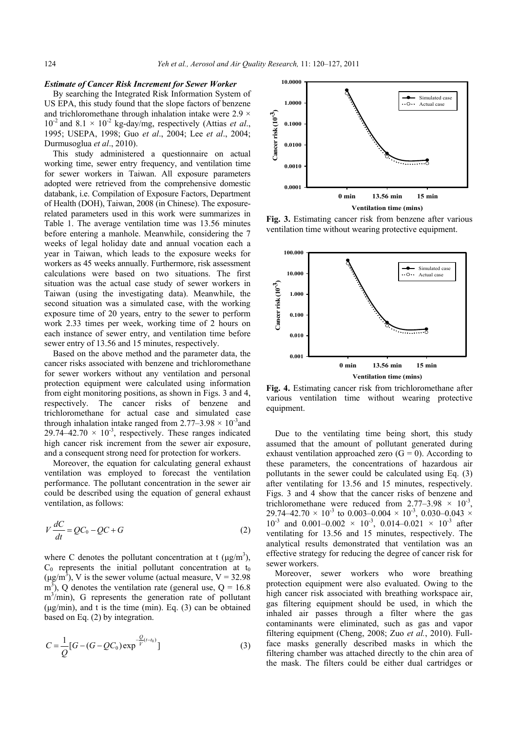#### *Estimate of Cancer Risk Increment for Sewer Worker*

By searching the Integrated Risk Information System of US EPA, this study found that the slope factors of benzene and trichloromethane through inhalation intake were  $2.9 \times$  $10^{-2}$  and  $8.1 \times 10^{-2}$  kg-day/mg, respectively (Attias *et al.*, 1995; USEPA, 1998; Guo *et al*., 2004; Lee *et al*., 2004; Durmusoglua *et al*., 2010).

This study administered a questionnaire on actual working time, sewer entry frequency, and ventilation time for sewer workers in Taiwan. All exposure parameters adopted were retrieved from the comprehensive domestic databank, i.e. Compilation of Exposure Factors, Department of Health (DOH), Taiwan, 2008 (in Chinese). The exposurerelated parameters used in this work were summarizes in Table 1. The average ventilation time was 13.56 minutes before entering a manhole. Meanwhile, considering the 7 weeks of legal holiday date and annual vocation each a year in Taiwan, which leads to the exposure weeks for workers as 45 weeks annually. Furthermore, risk assessment calculations were based on two situations. The first situation was the actual case study of sewer workers in Taiwan (using the investigating data). Meanwhile, the second situation was a simulated case, with the working exposure time of 20 years, entry to the sewer to perform work 2.33 times per week, working time of 2 hours on each instance of sewer entry, and ventilation time before sewer entry of 13.56 and 15 minutes, respectively.

Based on the above method and the parameter data, the cancer risks associated with benzene and trichloromethane for sewer workers without any ventilation and personal protection equipment were calculated using information from eight monitoring positions, as shown in Figs. 3 and 4, respectively. The cancer risks of benzene and trichloromethane for actual case and simulated case through inhalation intake ranged from  $2.77-3.98 \times 10^{-3}$  and 29.74–42.70  $\times$  10<sup>-3</sup>, respectively. These ranges indicated high cancer risk increment from the sewer air exposure, and a consequent strong need for protection for workers.

Moreover, the equation for calculating general exhaust ventilation was employed to forecast the ventilation performance. The pollutant concentration in the sewer air could be described using the equation of general exhaust ventilation, as follows:

$$
V\frac{dC}{dt} = QC_0 - QC + G\tag{2}
$$

where C denotes the pollutant concentration at t  $(\mu g/m^3)$ ,  $C_0$  represents the initial pollutant concentration at  $t_0$  $(\mu g/m^3)$ , V is the sewer volume (actual measure, V = 32.98)  $\text{m}^3$ ), Q denotes the ventilation rate (general use, Q = 16.8)  $m<sup>3</sup>/min$ ), G represents the generation rate of pollutant  $(\mu g/min)$ , and t is the time (min). Eq. (3) can be obtained based on Eq. (2) by integration.

$$
C = \frac{1}{Q} [G - (G - QC_0) \exp^{-\frac{Q}{V} (t - t_0)}]
$$
\n(3)



**Fig. 3.** Estimating cancer risk from benzene after various ventilation time without wearing protective equipment.



**Fig. 4.** Estimating cancer risk from trichloromethane after various ventilation time without wearing protective equipment.

Due to the ventilating time being short, this study assumed that the amount of pollutant generated during exhaust ventilation approached zero  $(G = 0)$ . According to these parameters, the concentrations of hazardous air pollutants in the sewer could be calculated using Eq. (3) after ventilating for 13.56 and 15 minutes, respectively. Figs. 3 and 4 show that the cancer risks of benzene and trichloromethane were reduced from  $2.77-3.98 \times 10^{-3}$ , 29.74–42.70  $\times$  10<sup>-3</sup> to 0.003–0.004  $\times$  10<sup>-3</sup>, 0.030–0.043  $\times$  $10^{-3}$  and 0.001–0.002  $\times$  10<sup>-3</sup>, 0.014–0.021  $\times$  10<sup>-3</sup> after ventilating for 13.56 and 15 minutes, respectively. The analytical results demonstrated that ventilation was an effective strategy for reducing the degree of cancer risk for sewer workers.

Moreover, sewer workers who wore breathing protection equipment were also evaluated. Owing to the high cancer risk associated with breathing workspace air, gas filtering equipment should be used, in which the inhaled air passes through a filter where the gas contaminants were eliminated, such as gas and vapor filtering equipment (Cheng, 2008; Zuo *et al.*, 2010). Fullface masks generally described masks in which the filtering chamber was attached directly to the chin area of the mask. The filters could be either dual cartridges or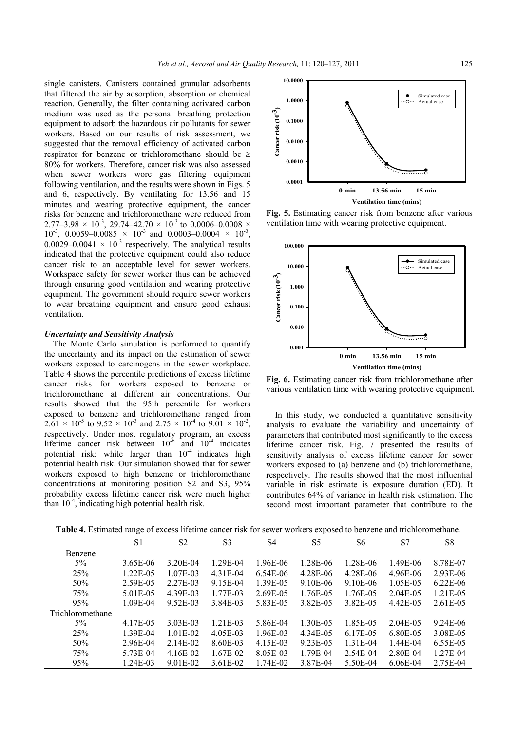single canisters. Canisters contained granular adsorbents that filtered the air by adsorption, absorption or chemical reaction. Generally, the filter containing activated carbon medium was used as the personal breathing protection equipment to adsorb the hazardous air pollutants for sewer workers. Based on our results of risk assessment, we suggested that the removal efficiency of activated carbon respirator for benzene or trichloromethane should be 80% for workers. Therefore, cancer risk was also assessed when sewer workers wore gas filtering equipment following ventilation, and the results were shown in Figs. 5 and 6, respectively. By ventilating for 13.56 and 15 minutes and wearing protective equipment, the cancer risks for benzene and trichloromethane were reduced from 2.77–3.98  $\times$  10<sup>-3</sup>, 29.74–42.70  $\times$  10<sup>-3</sup> to 0.0006–0.0008  $\times$  $10^{-3}$ , 0.0059–0.0085  $\times$  10<sup>-3</sup> and 0.0003–0.0004  $\times$  10<sup>-3</sup>. 0.0029–0.0041  $\times$  10<sup>-3</sup> respectively. The analytical results indicated that the protective equipment could also reduce cancer risk to an acceptable level for sewer workers. Workspace safety for sewer worker thus can be achieved through ensuring good ventilation and wearing protective equipment. The government should require sewer workers to wear breathing equipment and ensure good exhaust ventilation.

#### *Uncertainty and Sensitivity Analysis*

The Monte Carlo simulation is performed to quantify the uncertainty and its impact on the estimation of sewer workers exposed to carcinogens in the sewer workplace. Table 4 shows the percentile predictions of excess lifetime cancer risks for workers exposed to benzene or trichloromethane at different air concentrations. Our results showed that the 95th percentile for workers exposed to benzene and trichloromethane ranged from  $2.\overline{61} \times 10^{-5}$  to  $9.52 \times 10^{-3}$  and  $2.75 \times 10^{-4}$  to  $9.01 \times 10^{-2}$ . respectively. Under most regulatory program, an excess lifetime cancer risk between  $10^{-6}$  and  $10^{-4}$  indicates potential risk; while larger than  $10^{-4}$  indicates high potential health risk. Our simulation showed that for sewer workers exposed to high benzene or trichloromethane concentrations at monitoring position S2 and S3, 95% probability excess lifetime cancer risk were much higher than  $10^{-4}$ , indicating high potential health risk.



**Fig. 5.** Estimating cancer risk from benzene after various ventilation time with wearing protective equipment.



**Fig. 6.** Estimating cancer risk from trichloromethane after various ventilation time with wearing protective equipment.

In this study, we conducted a quantitative sensitivity analysis to evaluate the variability and uncertainty of parameters that contributed most significantly to the excess lifetime cancer risk. Fig. 7 presented the results of sensitivity analysis of excess lifetime cancer for sewer workers exposed to (a) benzene and (b) trichloromethane, respectively. The results showed that the most influential variable in risk estimate is exposure duration (ED). It contributes 64% of variance in health risk estimation. The second most important parameter that contribute to the

**Table 4.** Estimated range of excess lifetime cancer risk for sewer workers exposed to benzene and trichloromethane.

|                  | S <sub>1</sub> | S <sub>2</sub> | S <sub>3</sub> | S4       | S5       | S6         | S7           | S8           |
|------------------|----------------|----------------|----------------|----------|----------|------------|--------------|--------------|
| Benzene          |                |                |                |          |          |            |              |              |
| $5\%$            | 3.65E-06       | 3.20E-04       | 1.29E-04       | 1.96E-06 | 1.28E-06 | 1.28E-06   | 1.49E-06     | 8.78E-07     |
| 25%              | $1.22E - 0.5$  | 1.07E-03       | 4.31E-04       | 6.54E-06 | 4.28E-06 | 4.28E-06   | 4.96E-06     | 2.93E-06     |
| 50%              | 2.59E-05       | 2.27E-03       | 9.15E-04       | 1.39E-05 | 9.10E-06 | 9.10E-06   | 1.05E-05     | $6.22E - 06$ |
| 75%              | 5.01E-05       | 4.39E-03       | 1.77E-03       | 2.69E-05 | 1.76E-05 | 1.76E-05   | 2.04E-05     | 1.21E-05     |
| 95%              | 1.09E-04       | 9.52E-03       | 3.84E-03       | 5.83E-05 | 3.82E-05 | 3.82E-05   | 4.42E-05     | 2.61E-05     |
| Trichloromethane |                |                |                |          |          |            |              |              |
| $5\%$            | 4.17E-05       | 3.03E-03       | $1.21E-03$     | 5.86E-04 | 1.30E-05 | 1.85E-05   | 2.04E-05     | 9.24E-06     |
| 25%              | 1.39E-04       | 1.01E-02       | 4.05E-03       | 1.96E-03 | 4.34E-05 | 6.17E-05   | 6.80E-05     | 3.08E-05     |
| 50%              | 2.96E-04       | 2.14E-02       | 8.60E-03       | 4.15E-03 | 9.23E-05 | $1.31E-04$ | $1.44E - 04$ | 6.55E-05     |
| 75%              | 5.73E-04       | 4.16E-02       | 1.67E-02       | 8.05E-03 | 1.79E-04 | 2.54E-04   | 2.80E-04     | 1.27E-04     |
| 95%              | 1.24E-03       | 9.01E-02       | 3.61E-02       | 1.74E-02 | 3.87E-04 | 5.50E-04   | $6.06E-04$   | 2.75E-04     |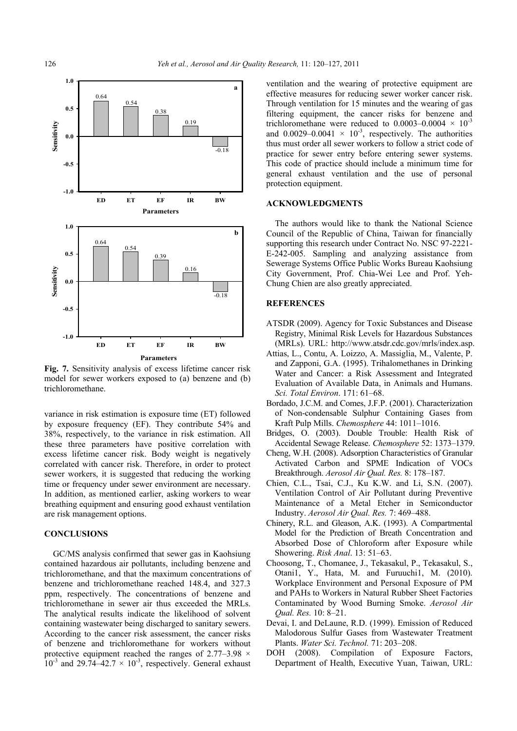

**Fig. 7.** Sensitivity analysis of excess lifetime cancer risk model for sewer workers exposed to (a) benzene and (b) trichloromethane.

variance in risk estimation is exposure time (ET) followed by exposure frequency (EF). They contribute 54% and 38%, respectively, to the variance in risk estimation. All these three parameters have positive correlation with excess lifetime cancer risk. Body weight is negatively correlated with cancer risk. Therefore, in order to protect sewer workers, it is suggested that reducing the working time or frequency under sewer environment are necessary. In addition, as mentioned earlier, asking workers to wear breathing equipment and ensuring good exhaust ventilation are risk management options.

## **CONCLUSIONS**

GC/MS analysis confirmed that sewer gas in Kaohsiung contained hazardous air pollutants, including benzene and trichloromethane, and that the maximum concentrations of benzene and trichloromethane reached 148.4, and 327.3 ppm, respectively. The concentrations of benzene and trichloromethane in sewer air thus exceeded the MRLs. The analytical results indicate the likelihood of solvent containing wastewater being discharged to sanitary sewers. According to the cancer risk assessment, the cancer risks of benzene and trichloromethane for workers without protective equipment reached the ranges of 2.77–3.98  $\times$  $10^{-3}$  and 29.74–42.7  $\times$  10<sup>-3</sup>, respectively. General exhaust

ventilation and the wearing of protective equipment are effective measures for reducing sewer worker cancer risk. Through ventilation for 15 minutes and the wearing of gas filtering equipment, the cancer risks for benzene and trichloromethane were reduced to 0.0003–0.0004  $\times$  10<sup>-3</sup> and 0.0029–0.0041  $\times$  10<sup>-3</sup>, respectively. The authorities thus must order all sewer workers to follow a strict code of practice for sewer entry before entering sewer systems. This code of practice should include a minimum time for general exhaust ventilation and the use of personal protection equipment.

# **ACKNOWLEDGMENTS**

The authors would like to thank the National Science Council of the Republic of China, Taiwan for financially supporting this research under Contract No. NSC 97-2221- E-242-005. Sampling and analyzing assistance from Sewerage Systems Office Public Works Bureau Kaohsiung City Government, Prof. Chia-Wei Lee and Prof. Yeh-Chung Chien are also greatly appreciated.

## **REFERENCES**

- ATSDR (2009). Agency for Toxic Substances and Disease Registry, Minimal Risk Levels for Hazardous Substances (MRLs). URL: http://www.atsdr.cdc.gov/mrls/index.asp.
- Attias, L., Contu, A. Loizzo, A. Massiglia, M., Valente, P. and Zapponi, G.A. (1995). Trihalomethanes in Drinking Water and Cancer: a Risk Assessment and Integrated Evaluation of Available Data, in Animals and Humans. *Sci. Total Environ*. 171: 61–68.
- Bordado, J.C.M. and Comes, J.F.P. (2001). Characterization of Non-condensable Sulphur Containing Gases from Kraft Pulp Mills. *Chemosphere* 44: 1011–1016.
- Bridges, O. (2003). Double Trouble: Health Risk of Accidental Sewage Release. *Chemosphere* 52: 1373–1379.
- Cheng, W.H. (2008). Adsorption Characteristics of Granular Activated Carbon and SPME Indication of VOCs Breakthrough. *Aerosol Air Qual. Res.* 8: 178–187.
- Chien, C.L., Tsai, C.J., Ku K.W. and Li, S.N. (2007). Ventilation Control of Air Pollutant during Preventive Maintenance of a Metal Etcher in Semiconductor Industry. *Aerosol Air Qual. Res.* 7: 469–488.
- Chinery, R.L. and Gleason, A.K. (1993). A Compartmental Model for the Prediction of Breath Concentration and Absorbed Dose of Chloroform after Exposure while Showering. *Risk Anal*. 13: 51–63.
- Choosong, T., Chomanee, J., Tekasakul, P., Tekasakul, S., Otani1, Y., Hata, M. and Furuuchi1, M. (2010). Workplace Environment and Personal Exposure of PM and PAHs to Workers in Natural Rubber Sheet Factories Contaminated by Wood Burning Smoke. *Aerosol Air Qual. Res.* 10: 8–21.
- Devai, I. and DeLaune, R.D. (1999). Emission of Reduced Malodorous Sulfur Gases from Wastewater Treatment Plants. *Water Sci. Technol.* 71: 203–208.
- DOH (2008). Compilation of Exposure Factors, Department of Health, Executive Yuan, Taiwan, URL: